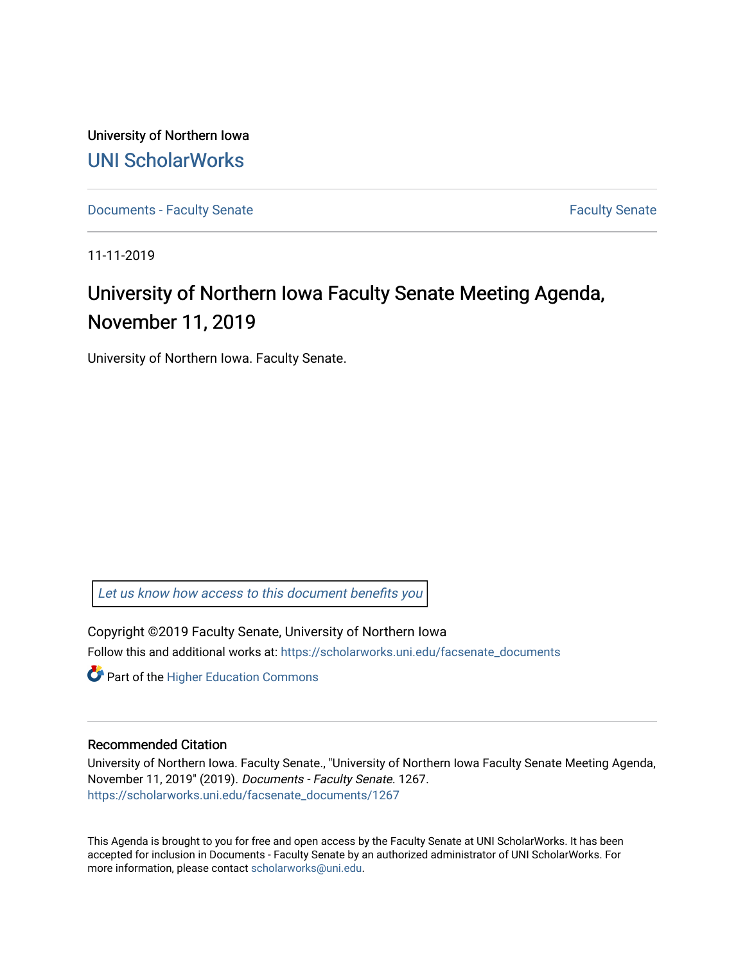University of Northern Iowa [UNI ScholarWorks](https://scholarworks.uni.edu/) 

[Documents - Faculty Senate](https://scholarworks.uni.edu/facsenate_documents) [Faculty Senate](https://scholarworks.uni.edu/facsenate) Faculty Senate

11-11-2019

# University of Northern Iowa Faculty Senate Meeting Agenda, November 11, 2019

University of Northern Iowa. Faculty Senate.

[Let us know how access to this document benefits you](https://scholarworks.uni.edu/feedback_form.html) 

Copyright ©2019 Faculty Senate, University of Northern Iowa Follow this and additional works at: [https://scholarworks.uni.edu/facsenate\\_documents](https://scholarworks.uni.edu/facsenate_documents?utm_source=scholarworks.uni.edu%2Ffacsenate_documents%2F1267&utm_medium=PDF&utm_campaign=PDFCoverPages) 

**Part of the Higher Education Commons** 

#### Recommended Citation

University of Northern Iowa. Faculty Senate., "University of Northern Iowa Faculty Senate Meeting Agenda, November 11, 2019" (2019). Documents - Faculty Senate. 1267. [https://scholarworks.uni.edu/facsenate\\_documents/1267](https://scholarworks.uni.edu/facsenate_documents/1267?utm_source=scholarworks.uni.edu%2Ffacsenate_documents%2F1267&utm_medium=PDF&utm_campaign=PDFCoverPages) 

This Agenda is brought to you for free and open access by the Faculty Senate at UNI ScholarWorks. It has been accepted for inclusion in Documents - Faculty Senate by an authorized administrator of UNI ScholarWorks. For more information, please contact [scholarworks@uni.edu.](mailto:scholarworks@uni.edu)